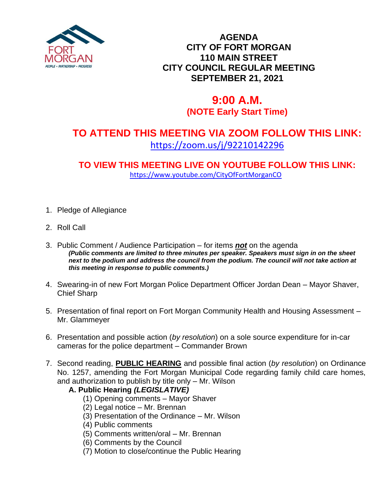

### **AGENDA CITY OF FORT MORGAN 110 MAIN STREET CITY COUNCIL REGULAR MEETING SEPTEMBER 21, 2021**

# **9:00 A.M. (NOTE Early Start Time)**

## **TO ATTEND THIS MEETING VIA ZOOM FOLLOW THIS LINK:** <https://zoom.us/j/92210142296>

**TO VIEW THIS MEETING LIVE ON YOUTUBE FOLLOW THIS LINK:** <https://www.youtube.com/CityOfFortMorganCO>

- 1. Pledge of Allegiance
- 2. Roll Call
- 3. Public Comment / Audience Participation for items *not* on the agenda *(Public comments are limited to three minutes per speaker. Speakers must sign in on the sheet*  next to the podium and address the council from the podium. The council will not take action at *this meeting in response to public comments.)*
- 4. Swearing-in of new Fort Morgan Police Department Officer Jordan Dean Mayor Shaver, Chief Sharp
- 5. Presentation of final report on Fort Morgan Community Health and Housing Assessment Mr. Glammeyer
- 6. Presentation and possible action (*by resolution*) on a sole source expenditure for in-car cameras for the police department – Commander Brown
- 7. Second reading, **PUBLIC HEARING** and possible final action (*by resolution*) on Ordinance No. 1257, amending the Fort Morgan Municipal Code regarding family child care homes, and authorization to publish by title only – Mr. Wilson

#### **A. Public Hearing** *(LEGISLATIVE)*

- (1) Opening comments Mayor Shaver
- (2) Legal notice Mr. Brennan
- (3) Presentation of the Ordinance Mr. Wilson
- (4) Public comments
- (5) Comments written/oral Mr. Brennan
- (6) Comments by the Council
- (7) Motion to close/continue the Public Hearing